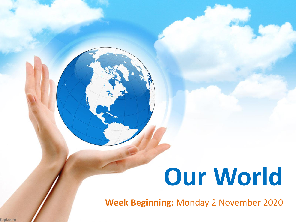# **Our World**

**Week Beginning:** Monday 2 November 2020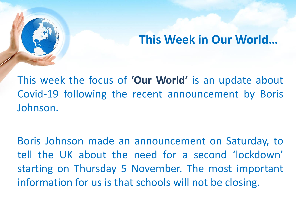#### **This Week in Our World…**

This week the focus of **'Our World'** is an update about Covid-19 following the recent announcement by Boris Johnson.

Boris Johnson made an announcement on Saturday, to tell the UK about the need for a second 'lockdown' starting on Thursday 5 November. The most important information for us is that schools will not be closing.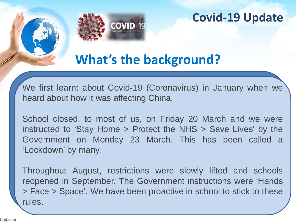

# **What's the background?**

We first learnt about Covid-19 (Coronavirus) in January when we heard about how it was affecting China.

School closed, to most of us, on Friday 20 March and we were instructed to 'Stay Home > Protect the NHS > Save Lives' by the Government on Monday 23 March. This has been called a 'Lockdown' by many.

Throughout August, restrictions were slowly lifted and schools reopened in September. The Government instructions were 'Hands > Face > Space'. We have been proactive in school to stick to these rules.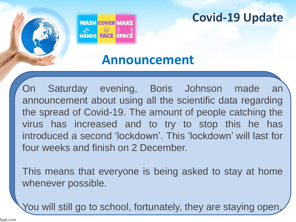

# **Announcement**

On Saturday evening, Boris Johnson made an announcement about using all the scientific data regarding the spread of Covid-19. The amount of people catching the virus has increased and to try to stop this he has introduced a second 'lockdown'. This 'lockdown' will last for four weeks and finish on 2 December.

This means that everyone is being asked to stay at home whenever possible.

You will still go to school, fortunately, they are staying open.

fppt.com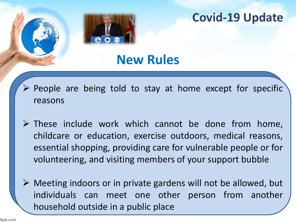

# **New Rules**

- ➢ People are being told to stay at home except for specific reasons
- ➢ These include work which cannot be done from home, childcare or education, exercise outdoors, medical reasons, essential shopping, providing care for vulnerable people or for volunteering, and visiting members of your support bubble
- ➢ Meeting indoors or in private gardens will not be allowed, but individuals can meet one other person from another household outside in a public place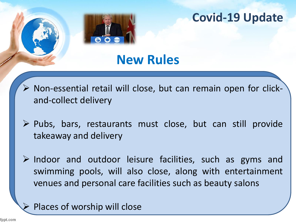

# **New Rules**

- ➢ Non-essential retail will close, but can remain open for clickand-collect delivery
- ➢ Pubs, bars, restaurants must close, but can still provide takeaway and delivery
- $\triangleright$  Indoor and outdoor leisure facilities, such as gyms and swimming pools, will also close, along with entertainment venues and personal care facilities such as beauty salons

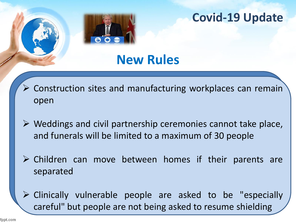

# **New Rules**

- ➢ Construction sites and manufacturing workplaces can remain open
- $\triangleright$  Weddings and civil partnership ceremonies cannot take place, and funerals will be limited to a maximum of 30 people
- ➢ Children can move between homes if their parents are separated
- ➢ Clinically vulnerable people are asked to be "especially careful" but people are not being asked to resume shielding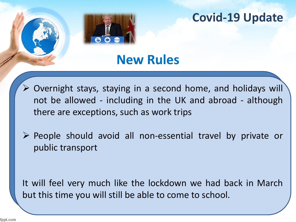

# **New Rules**

- ➢ Overnight stays, staying in a second home, and holidays will not be allowed - including in the UK and abroad - although there are exceptions, such as work trips
- ➢ People should avoid all non-essential travel by private or public transport

It will feel very much like the lockdown we had back in March but this time you will still be able to come to school.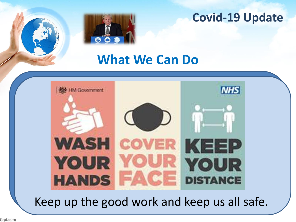



# **What We Can Do**



Keep up the good work and keep us all safe.

fppt.com